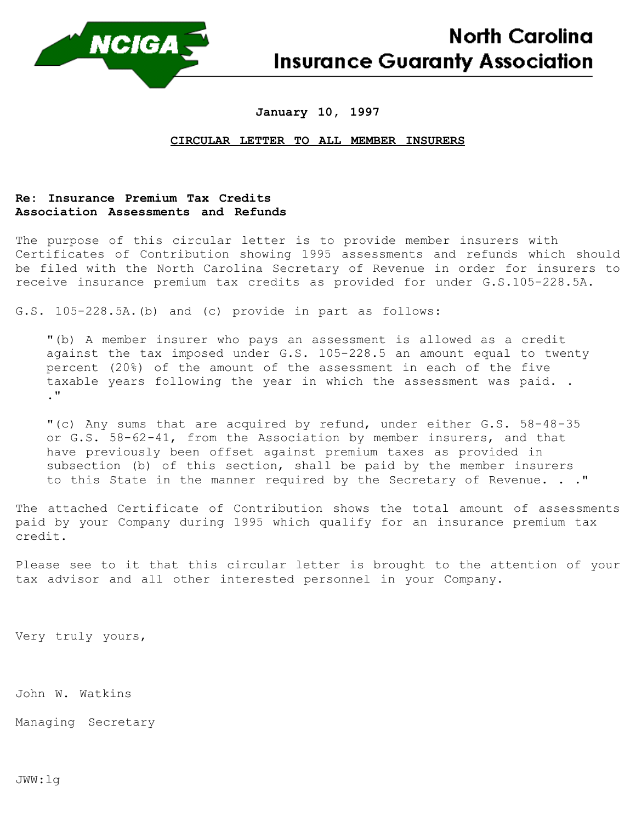

## **January 10, 1997**

## **CIRCULAR LETTER TO ALL MEMBER INSURERS**

## **Re: Insurance Premium Tax Credits Association Assessments and Refunds**

The purpose of this circular letter is to provide member insurers with Certificates of Contribution showing 1995 assessments and refunds which should be filed with the North Carolina Secretary of Revenue in order for insurers to receive insurance premium tax credits as provided for under G.S.105-228.5A.

G.S. 105-228.5A.(b) and (c) provide in part as follows:

"(b) A member insurer who pays an assessment is allowed as a credit against the tax imposed under G.S. 105-228.5 an amount equal to twenty percent (20%) of the amount of the assessment in each of the five taxable years following the year in which the assessment was paid. . ."

"(c) Any sums that are acquired by refund, under either G.S. 58-48-35 or G.S. 58-62-41, from the Association by member insurers, and that have previously been offset against premium taxes as provided in subsection (b) of this section, shall be paid by the member insurers to this State in the manner required by the Secretary of Revenue. . ."

The attached Certificate of Contribution shows the total amount of assessments paid by your Company during 1995 which qualify for an insurance premium tax credit.

Please see to it that this circular letter is brought to the attention of your tax advisor and all other interested personnel in your Company.

Very truly yours,

John W. Watkins

Managing Secretary